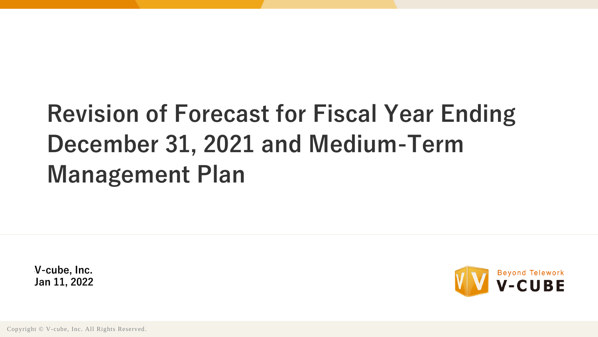# **Revision of Forecast for Fiscal Year Ending December 31, 2021 and Medium-Term Management Plan**

 $V$ -cube, Inc. **Jan 11, 2022**



Copyright © V-cube, Inc. All Rights Reserved.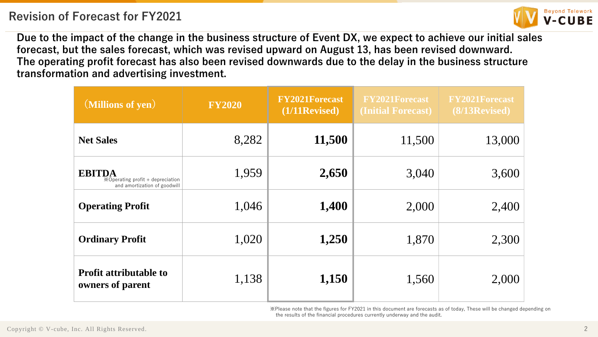

**Due to the impact of the change in the business structure of Event DX, we expect to achieve our initial sales forecast, but the sales forecast, which was revised upward on August 13, has been revised downward. The operating profit forecast has also been revised downwards due to the delay in the business structure transformation and advertising investment.**

| (Millions of yen)                                                                 | <b>FY2020</b> | <b>FY2021Forecast</b><br>$(1/11$ Revised) | <b>FY2021Forecast</b><br>(Initial Forecast) | <b>FY2021Forecast</b><br>$(8/13$ Revised) |
|-----------------------------------------------------------------------------------|---------------|-------------------------------------------|---------------------------------------------|-------------------------------------------|
| <b>Net Sales</b>                                                                  | 8,282         | 11,500                                    | 11,500                                      | 13,000                                    |
| <b>EBITDA</b><br>※Operating profit + depreciation<br>and amortization of goodwill | 1,959         | 2,650                                     | 3,040                                       | 3,600                                     |
| <b>Operating Profit</b>                                                           | 1,046         | 1,400                                     | 2,000                                       | 2,400                                     |
| <b>Ordinary Profit</b>                                                            | 1,020         | 1,250                                     | 1,870                                       | 2,300                                     |
| <b>Profit attributable to</b><br>owners of parent                                 | 1,138         | 1,150                                     | 1,560                                       | 2,000                                     |

※Please note that the figures for FY2021 in this document are forecasts as of today, These will be changed depending on the results of the financial procedures currently underway and the audit.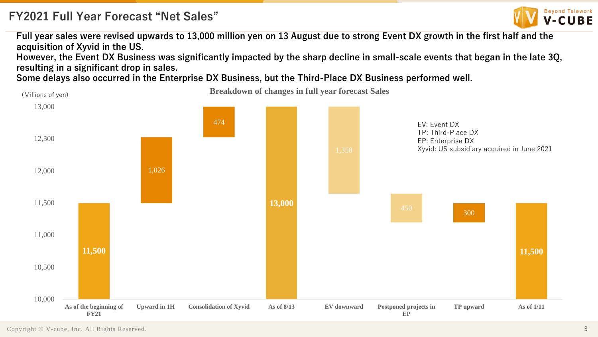## **FY2021 Full Year Forecast "Net Sales"**



**Full year sales were revised upwards to 13,000 million yen on 13 August due to strong Event DX growth in the first half and the acquisition of Xyvid in the US.**

**However, the Event DX Business was significantly impacted by the sharp decline in small-scale events that began in the late 3Q, resulting in a significant drop in sales.**

**Some delays also occurred in the Enterprise DX Business, but the Third-Place DX Business performed well.**

(Millions of yen) **Breakdown of changes in full year forecast Sales** 

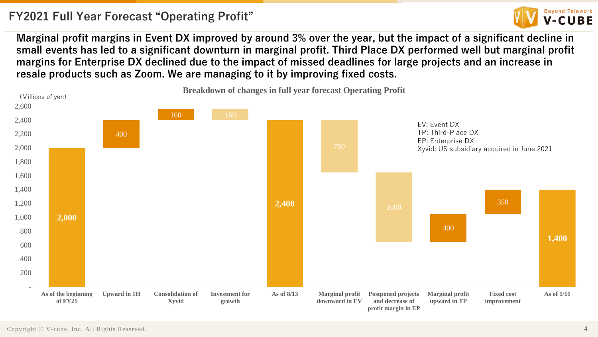## **FY2021 Full Year Forecast "Operating Profit"**



**Marginal profit margins in Event DX improved by around 3% over the year, but the impact of a significant decline in small events has led to a significant downturn in marginal profit. Third Place DX performed well but marginal profit margins for Enterprise DX declined due to the impact of missed deadlines for large projects and an increase in resale products such as Zoom. We are managing to it by improving fixed costs.**

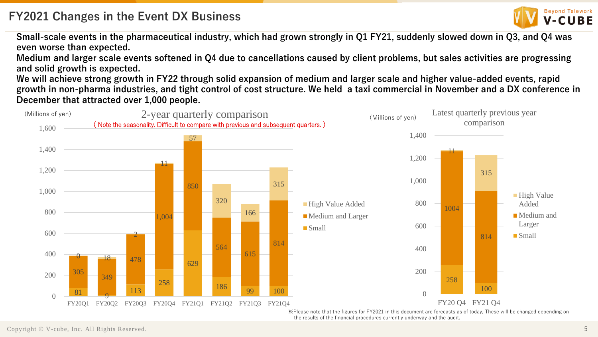

**Small-scale events in the pharmaceutical industry, which had grown strongly in Q1 FY21, suddenly slowed down in Q3, and Q4 was even worse than expected.**

**Medium and larger scale events softened in Q4 due to cancellations caused by client problems, but sales activities are progressing and solid growth is expected.**

**We will achieve strong growth in FY22 through solid expansion of medium and larger scale and higher value-added events, rapid growth in non-pharma industries, and tight control of cost structure. We held a taxi commercial in November and a DX conference in December that attracted over 1,000 people.**

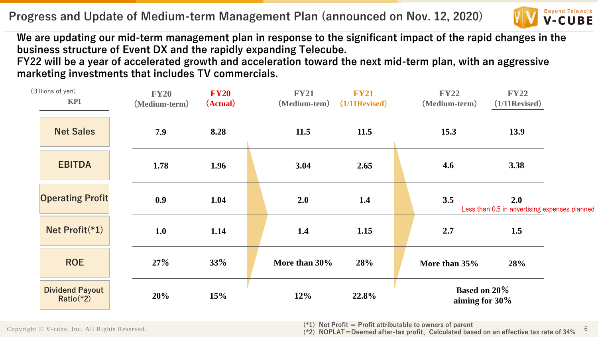**Progress and Update of Medium-term Management Plan (announced on Nov. 12, 2020)**



6

**We are updating our mid-term management plan in response to the significant impact of the rapid changes in the business structure of Event DX and the rapidly expanding Telecube.**

**FY22 will be a year of accelerated growth and acceleration toward the next mid-term plan, with an aggressive marketing investments that includes TV commercials.**

| (Billions of yen)<br><b>KPI</b>       | <b>FY20</b><br>(Medium-term) | <b>FY20</b><br>(Actual) | <b>FY21</b><br>(Medium-tem) | <b>FY21</b><br>$(1/11$ Revised) | <b>FY22</b><br>(Medium-term)          | <b>FY22</b><br>$(1/11$ Revised)                      |  |
|---------------------------------------|------------------------------|-------------------------|-----------------------------|---------------------------------|---------------------------------------|------------------------------------------------------|--|
| <b>Net Sales</b>                      | 7.9                          | 8.28                    | 11.5                        | 11.5                            | 15.3                                  | 13.9                                                 |  |
| <b>EBITDA</b>                         | 1.78                         | 1.96                    | 3.04                        | 2.65                            | 4.6                                   | 3.38                                                 |  |
| <b>Operating Profit</b>               | 0.9                          | 1.04                    | 2.0                         | 1.4                             | 3.5                                   | 2.0<br>Less than 0.5 in advertising expenses planned |  |
| Net Profit(*1)                        | 1.0                          | 1.14                    | 1.4                         | 1.15                            | 2.7                                   | 1.5                                                  |  |
| <b>ROE</b>                            | 27%                          | 33%                     | More than 30%               | 28%                             | More than 35%                         | 28%                                                  |  |
| <b>Dividend Payout</b><br>$Ratio$ *2) | 20%                          | 15%                     | 12%                         | 22.8%                           | <b>Based on 20%</b><br>aiming for 30% |                                                      |  |

Copyright © V-cube, Inc. All Rights Reserved.

(**\*1**)**Net Profit** = **Profit attributable to owners of parent**

(**\*2**)**NOPLAT**=**Deemed after-tax profit**、**Calculated based on an effective tax rate of 34%**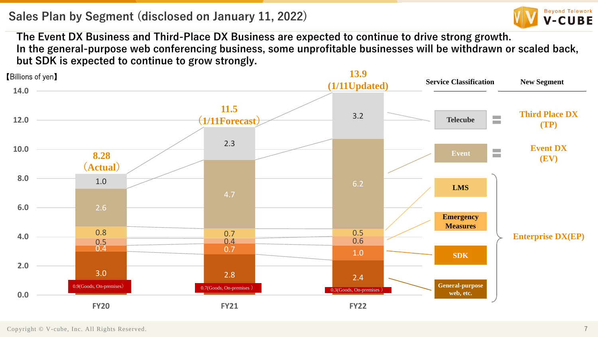#### **Sales Plan by Segment (disclosed on January 11, 2022)**



**The Event DX Business and Third-Place DX Business are expected to continue to drive strong growth. In the general-purpose web conferencing business, some unprofitable businesses will be withdrawn or scaled back, but SDK is expected to continue to grow strongly.**

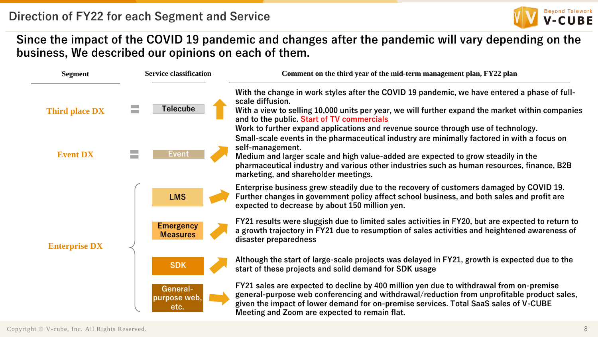

#### **Since the impact of the COVID 19 pandemic and changes after the pandemic will vary depending on the business, We described our opinions on each of them.**

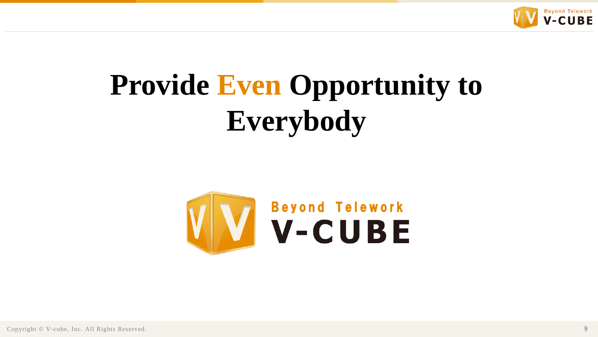

# **Provide Even Opportunity to Everybody**